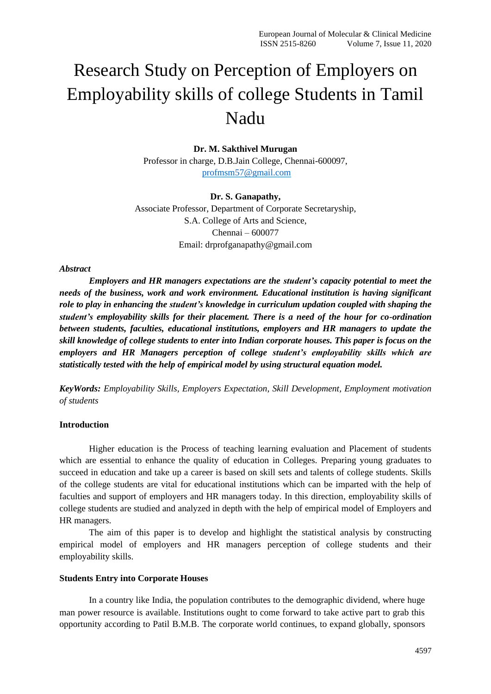# Research Study on Perception of Employers on Employability skills of college Students in Tamil Nadu

# **Dr. M. Sakthivel Murugan**

Professor in charge, D.B.Jain College, Chennai-600097, [profmsm57@gmail.com](mailto:profmsm57@gmail.com)

#### **Dr. S. Ganapathy,**

Associate Professor, Department of Corporate Secretaryship, S.A. College of Arts and Science, Chennai – 600077 Email: drprofganapathy@gmail.com

#### *Abstract*

*Employers and HR managers expectations are the student's capacity potential to meet the needs of the business, work and work environment. Educational institution is having significant role to play in enhancing the student's knowledge in curriculum updation coupled with shaping the student's employability skills for their placement. There is a need of the hour for co-ordination between students, faculties, educational institutions, employers and HR managers to update the skill knowledge of college students to enter into Indian corporate houses. This paper is focus on the employers and HR Managers perception of college student's employability skills which are statistically tested with the help of empirical model by using structural equation model.*

*KeyWords: Employability Skills, Employers Expectation, Skill Development, Employment motivation of students*

# **Introduction**

Higher education is the Process of teaching learning evaluation and Placement of students which are essential to enhance the quality of education in Colleges. Preparing young graduates to succeed in education and take up a career is based on skill sets and talents of college students. Skills of the college students are vital for educational institutions which can be imparted with the help of faculties and support of employers and HR managers today. In this direction, employability skills of college students are studied and analyzed in depth with the help of empirical model of Employers and HR managers.

The aim of this paper is to develop and highlight the statistical analysis by constructing empirical model of employers and HR managers perception of college students and their employability skills.

#### **Students Entry into Corporate Houses**

In a country like India, the population contributes to the demographic dividend, where huge man power resource is available. Institutions ought to come forward to take active part to grab this opportunity according to Patil B.M.B. The corporate world continues, to expand globally, sponsors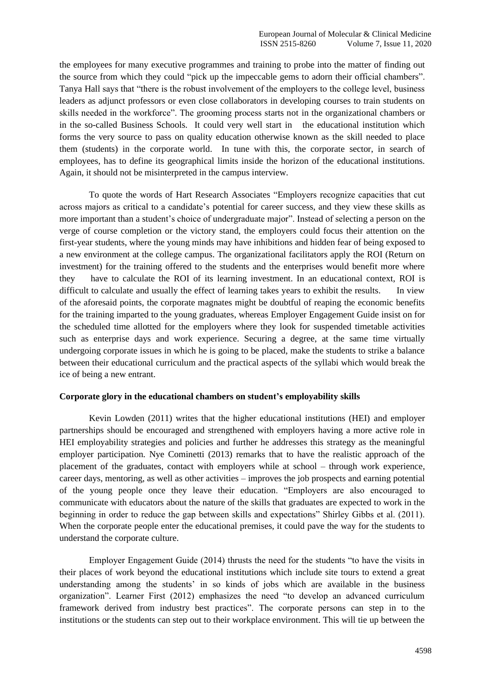the employees for many executive programmes and training to probe into the matter of finding out the source from which they could "pick up the impeccable gems to adorn their official chambers". Tanya Hall says that "there is the robust involvement of the employers to the college level, business leaders as adjunct professors or even close collaborators in developing courses to train students on skills needed in the workforce". The grooming process starts not in the organizational chambers or in the so-called Business Schools. It could very well start in the educational institution which forms the very source to pass on quality education otherwise known as the skill needed to place them (students) in the corporate world. In tune with this, the corporate sector, in search of employees, has to define its geographical limits inside the horizon of the educational institutions. Again, it should not be misinterpreted in the campus interview.

To quote the words of Hart Research Associates "Employers recognize capacities that cut across majors as critical to a candidate's potential for career success, and they view these skills as more important than a student's choice of undergraduate major". Instead of selecting a person on the verge of course completion or the victory stand, the employers could focus their attention on the first-year students, where the young minds may have inhibitions and hidden fear of being exposed to a new environment at the college campus. The organizational facilitators apply the ROI (Return on investment) for the training offered to the students and the enterprises would benefit more where they have to calculate the ROI of its learning investment. In an educational context, ROI is difficult to calculate and usually the effect of learning takes years to exhibit the results. In view of the aforesaid points, the corporate magnates might be doubtful of reaping the economic benefits for the training imparted to the young graduates, whereas Employer Engagement Guide insist on for the scheduled time allotted for the employers where they look for suspended timetable activities such as enterprise days and work experience. Securing a degree, at the same time virtually undergoing corporate issues in which he is going to be placed, make the students to strike a balance between their educational curriculum and the practical aspects of the syllabi which would break the ice of being a new entrant.

# **Corporate glory in the educational chambers on student's employability skills**

Kevin Lowden (2011) writes that the higher educational institutions (HEI) and employer partnerships should be encouraged and strengthened with employers having a more active role in HEI employability strategies and policies and further he addresses this strategy as the meaningful employer participation. Nye Cominetti (2013) remarks that to have the realistic approach of the placement of the graduates, contact with employers while at school – through work experience, career days, mentoring, as well as other activities – improves the job prospects and earning potential of the young people once they leave their education. "Employers are also encouraged to communicate with educators about the nature of the skills that graduates are expected to work in the beginning in order to reduce the gap between skills and expectations" Shirley Gibbs et al. (2011). When the corporate people enter the educational premises, it could pave the way for the students to understand the corporate culture.

Employer Engagement Guide (2014) thrusts the need for the students "to have the visits in their places of work beyond the educational institutions which include site tours to extend a great understanding among the students' in so kinds of jobs which are available in the business organization". Learner First (2012) emphasizes the need "to develop an advanced curriculum framework derived from industry best practices". The corporate persons can step in to the institutions or the students can step out to their workplace environment. This will tie up between the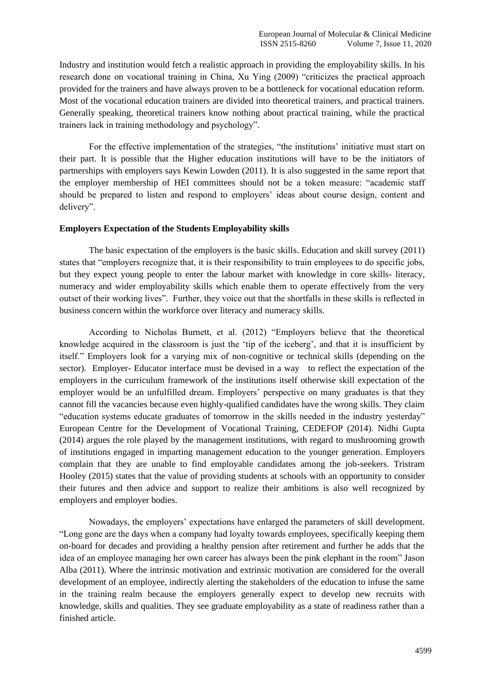Industry and institution would fetch a realistic approach in providing the employability skills. In his research done on vocational training in China, Xu Ying (2009) "criticizes the practical approach provided for the trainers and have always proven to be a bottleneck for vocational education reform. Most of the vocational education trainers are divided into theoretical trainers, and practical trainers. Generally speaking, theoretical trainers know nothing about practical training, while the practical trainers lack in training methodology and psychology".

For the effective implementation of the strategies, "the institutions' initiative must start on their part. It is possible that the Higher education institutions will have to be the initiators of partnerships with employers says Kewin Lowden (2011). It is also suggested in the same report that the employer membership of HEI committees should not be a token measure: "academic staff should be prepared to listen and respond to employers' ideas about course design, content and delivery".

#### **Employers Expectation of the Students Employability skills**

The basic expectation of the employers is the basic skills. Education and skill survey (2011) states that "employers recognize that, it is their responsibility to train employees to do specific jobs, but they expect young people to enter the labour market with knowledge in core skills- literacy, numeracy and wider employability skills which enable them to operate effectively from the very outset of their working lives". Further, they voice out that the shortfalls in these skills is reflected in business concern within the workforce over literacy and numeracy skills.

According to Nicholas Burnett, et al. (2012) "Employers believe that the theoretical knowledge acquired in the classroom is just the 'tip of the iceberg', and that it is insufficient by itself." Employers look for a varying mix of non-cognitive or technical skills (depending on the sector). Employer- Educator interface must be devised in a way to reflect the expectation of the employers in the curriculum framework of the institutions itself otherwise skill expectation of the employer would be an unfulfilled dream. Employers' perspective on many graduates is that they cannot fill the vacancies because even highly-qualified candidates have the wrong skills. They claim "education systems educate graduates of tomorrow in the skills needed in the industry yesterday" European Centre for the Development of Vocational Training, CEDEFOP (2014). Nidhi Gupta (2014) argues the role played by the management institutions, with regard to mushrooming growth of institutions engaged in imparting management education to the younger generation. Employers complain that they are unable to find employable candidates among the job-seekers. Tristram Hooley (2015) states that the value of providing students at schools with an opportunity to consider their futures and then advice and support to realize their ambitions is also well recognized by employers and employer bodies.

Nowadays, the employers' expectations have enlarged the parameters of skill development. "Long gone are the days when a company had loyalty towards employees, specifically keeping them on-board for decades and providing a healthy pension after retirement and further he adds that the idea of an employee managing her own career has always been the pink elephant in the room" Jason Alba (2011). Where the intrinsic motivation and extrinsic motivation are considered for the overall development of an employee, indirectly alerting the stakeholders of the education to infuse the same in the training realm because the employers generally expect to develop new recruits with knowledge, skills and qualities. They see graduate employability as a state of readiness rather than a finished article.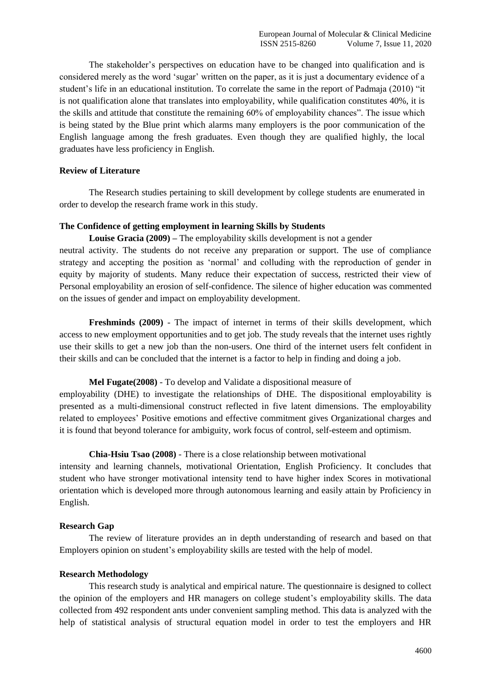The stakeholder's perspectives on education have to be changed into qualification and is considered merely as the word 'sugar' written on the paper, as it is just a documentary evidence of a student's life in an educational institution. To correlate the same in the report of Padmaja (2010) "it is not qualification alone that translates into employability, while qualification constitutes 40%, it is the skills and attitude that constitute the remaining 60% of employability chances". The issue which is being stated by the Blue print which alarms many employers is the poor communication of the English language among the fresh graduates. Even though they are qualified highly, the local graduates have less proficiency in English.

# **Review of Literature**

The Research studies pertaining to skill development by college students are enumerated in order to develop the research frame work in this study.

# **The Confidence of getting employment in learning Skills by Students**

**Louise Gracia (2009) –** The employability skills development is not a gender

neutral activity. The students do not receive any preparation or support. The use of compliance strategy and accepting the position as 'normal' and colluding with the reproduction of gender in equity by majority of students. Many reduce their expectation of success, restricted their view of Personal employability an erosion of self-confidence. The silence of higher education was commented on the issues of gender and impact on employability development.

**Freshminds (2009)** - The impact of internet in terms of their skills development, which access to new employment opportunities and to get job. The study reveals that the internet uses rightly use their skills to get a new job than the non-users. One third of the internet users felt confident in their skills and can be concluded that the internet is a factor to help in finding and doing a job.

# **Mel Fugate(2008)** - To develop and Validate a dispositional measure of

employability (DHE) to investigate the relationships of DHE. The dispositional employability is presented as a multi-dimensional construct reflected in five latent dimensions. The employability related to employees' Positive emotions and effective commitment gives Organizational charges and it is found that beyond tolerance for ambiguity, work focus of control, self-esteem and optimism.

# **Chia-Hsiu Tsao (2008)** - There is a close relationship between motivational

intensity and learning channels, motivational Orientation, English Proficiency. It concludes that student who have stronger motivational intensity tend to have higher index Scores in motivational orientation which is developed more through autonomous learning and easily attain by Proficiency in English.

# **Research Gap**

The review of literature provides an in depth understanding of research and based on that Employers opinion on student's employability skills are tested with the help of model.

# **Research Methodology**

This research study is analytical and empirical nature. The questionnaire is designed to collect the opinion of the employers and HR managers on college student's employability skills. The data collected from 492 respondent ants under convenient sampling method. This data is analyzed with the help of statistical analysis of structural equation model in order to test the employers and HR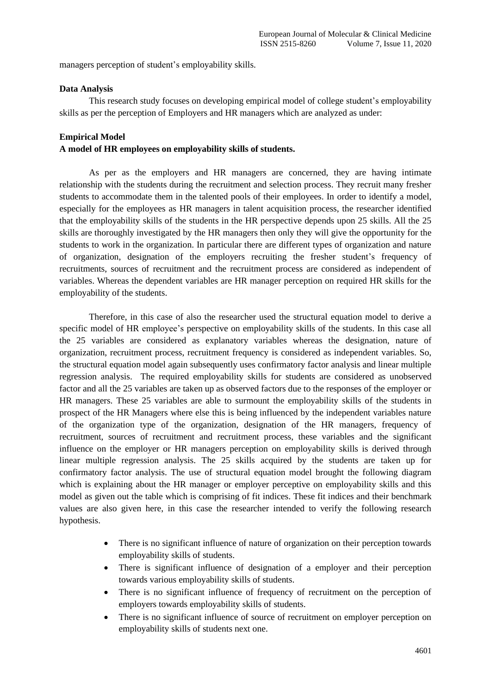managers perception of student's employability skills.

#### **Data Analysis**

This research study focuses on developing empirical model of college student's employability skills as per the perception of Employers and HR managers which are analyzed as under:

#### **Empirical Model**

#### **A model of HR employees on employability skills of students.**

As per as the employers and HR managers are concerned, they are having intimate relationship with the students during the recruitment and selection process. They recruit many fresher students to accommodate them in the talented pools of their employees. In order to identify a model, especially for the employees as HR managers in talent acquisition process, the researcher identified that the employability skills of the students in the HR perspective depends upon 25 skills. All the 25 skills are thoroughly investigated by the HR managers then only they will give the opportunity for the students to work in the organization. In particular there are different types of organization and nature of organization, designation of the employers recruiting the fresher student's frequency of recruitments, sources of recruitment and the recruitment process are considered as independent of variables. Whereas the dependent variables are HR manager perception on required HR skills for the employability of the students.

Therefore, in this case of also the researcher used the structural equation model to derive a specific model of HR employee's perspective on employability skills of the students. In this case all the 25 variables are considered as explanatory variables whereas the designation, nature of organization, recruitment process, recruitment frequency is considered as independent variables. So, the structural equation model again subsequently uses confirmatory factor analysis and linear multiple regression analysis. The required employability skills for students are considered as unobserved factor and all the 25 variables are taken up as observed factors due to the responses of the employer or HR managers. These 25 variables are able to surmount the employability skills of the students in prospect of the HR Managers where else this is being influenced by the independent variables nature of the organization type of the organization, designation of the HR managers, frequency of recruitment, sources of recruitment and recruitment process, these variables and the significant influence on the employer or HR managers perception on employability skills is derived through linear multiple regression analysis. The 25 skills acquired by the students are taken up for confirmatory factor analysis. The use of structural equation model brought the following diagram which is explaining about the HR manager or employer perceptive on employability skills and this model as given out the table which is comprising of fit indices. These fit indices and their benchmark values are also given here, in this case the researcher intended to verify the following research hypothesis.

- There is no significant influence of nature of organization on their perception towards employability skills of students.
- There is significant influence of designation of a employer and their perception towards various employability skills of students.
- There is no significant influence of frequency of recruitment on the perception of employers towards employability skills of students.
- There is no significant influence of source of recruitment on employer perception on employability skills of students next one.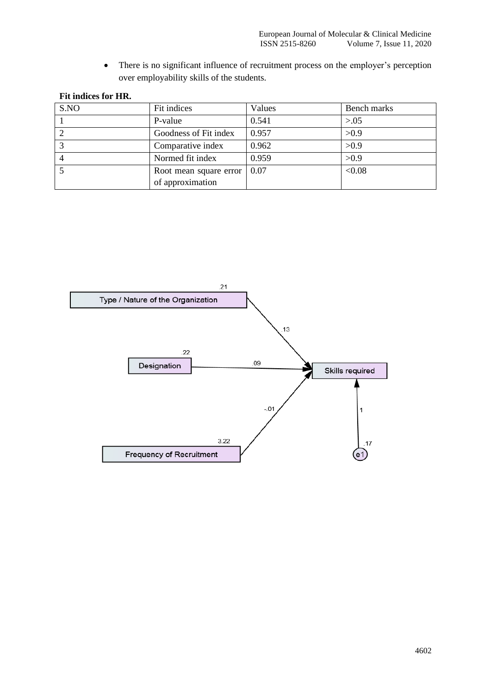• There is no significant influence of recruitment process on the employer's perception over employability skills of the students.

|  | Fit indices for HR. |  |  |
|--|---------------------|--|--|
|--|---------------------|--|--|

| S.NO | Fit indices            | Values | Bench marks |
|------|------------------------|--------|-------------|
|      | P-value                | 0.541  | > 0.05      |
|      | Goodness of Fit index  | 0.957  | >0.9        |
|      | Comparative index      | 0.962  | >0.9        |
|      | Normed fit index       | 0.959  | >0.9        |
|      | Root mean square error | 0.07   | < 0.08      |
|      | of approximation       |        |             |